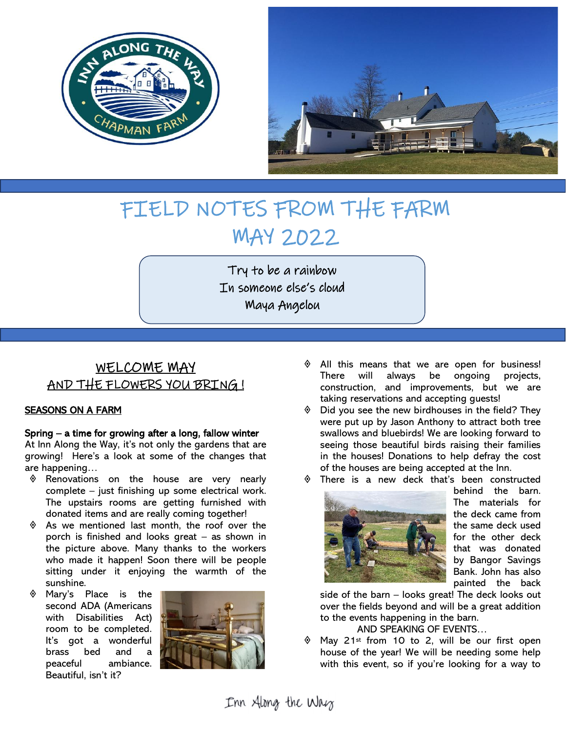



# FIELD NOTES FROM THE FARM MAY 2022

Try to be a rainbow In someone else's cloud Maya Angelou

## WELCOME MAY AND THE FLOWERS YOU BRING !

#### SEASONS ON A FARM

#### Spring – a time for growing after a long, fallow winter

At Inn Along the Way, it's not only the gardens that are growing! Here's a look at some of the changes that are happening…

- Renovations on the house are very nearly complete – just finishing up some electrical work. The upstairs rooms are getting furnished with donated items and are really coming together!
- $\Diamond$  As we mentioned last month, the roof over the porch is finished and looks great – as shown in the picture above. Many thanks to the workers who made it happen! Soon there will be people sitting under it enjoying the warmth of the sunshine.
- Mary's Place is the second ADA (Americans with Disabilities Act) room to be completed. It's got a wonderful brass bed and a peaceful ambiance. Beautiful, isn't it?



- All this means that we are open for business! There will always be ongoing projects, construction, and improvements, but we are taking reservations and accepting guests!
- Did you see the new birdhouses in the field? They were put up by Jason Anthony to attract both tree swallows and bluebirds! We are looking forward to seeing those beautiful birds raising their families in the houses! Donations to help defray the cost of the houses are being accepted at the Inn.



 There is a new deck that's been constructed behind the barn. The materials for the deck came from the same deck used for the other deck that was donated by Bangor Savings Bank. John has also painted the back

side of the barn – looks great! The deck looks out over the fields beyond and will be a great addition to the events happening in the barn.

AND SPEAKING OF EVENTS…

 May 21st from 10 to 2, will be our first open house of the year! We will be needing some help with this event, so if you're looking for a way to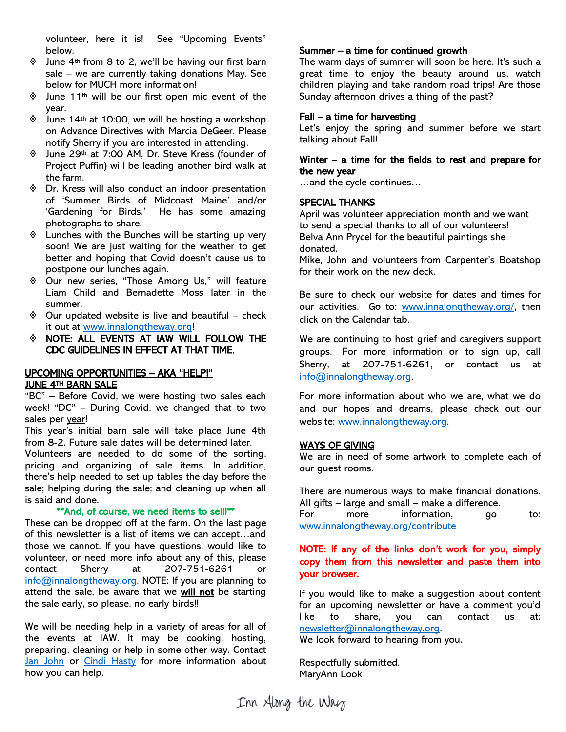volunteer, here it is! See "Upcoming Events" below.

- $\Diamond$  June 4<sup>th</sup> from 8 to 2, we'll be having our first barn sale – we are currently taking donations May. See below for MUCH more information!
- $\Diamond$  June 11<sup>th</sup> will be our first open mic event of the year.
- $\textcircled{1}$  June 14<sup>th</sup> at 10:00, we will be hosting a workshop on Advance Directives with Marcia DeGeer. Please notify Sherry if you are interested in attending.
- June 29th at 7:00 AM, Dr. Steve Kress (founder of Project Puffin) will be leading another bird walk at the farm.
- Dr. Kress will also conduct an indoor presentation of 'Summer Birds of Midcoast Maine' and/or 'Gardening for Birds.' He has some amazing photographs to share.
- $\Diamond$  Lunches with the Bunches will be starting up very soon! We are just waiting for the weather to get better and hoping that Covid doesn't cause us to postpone our lunches again.
- Our new series, "Those Among Us," will feature Liam Child and Bernadette Moss later in the summer.
- $\Diamond$  Our updated website is live and beautiful check it out at [www.innalongtheway.org!](http://www.innalongtheway.org/)
- NOTE: ALL EVENTS AT IAW WILL FOLLOW THE CDC GUIDELINES IN EFFECT AT THAT TIME.

#### UPCOMING OPPORTUNITIES – AKA "HELP!" JUNE 4TH BARN SALE

"BC" – Before Covid, we were hosting two sales each week! "DC" – During Covid, we changed that to two sales per year!

This year's initial barn sale will take place June 4th from 8-2. Future sale dates will be determined later.

Volunteers are needed to do some of the sorting, pricing and organizing of sale items. In addition, there's help needed to set up tables the day before the sale; helping during the sale; and cleaning up when all is said and done.

#### \*\*And, of course, we need items to sell!\*\*

These can be dropped off at the farm. On the last page of this newsletter is a list of items we can accept…and those we cannot. If you have questions, would like to volunteer, or need more info about any of this, please contact Sherry at 207-751-6261 or [info@innalongtheway.org.](mailto:info@innalongtheway.org) NOTE: If you are planning to attend the sale, be aware that we will not be starting the sale early, so please, no early birds!!

We will be needing help in a variety of areas for all of the events at IAW. It may be cooking, hosting, preparing, cleaning or help in some other way. Contact [Jan John](mailto:janjohn1us@yahoo.com?subject=Volunteering) or [Cindi Hasty](mailto:cindihasty1@gmail.com?subject=Volunteering) for more information about how you can help.

#### Summer – a time for continued growth

The warm days of summer will soon be here. It's such a great time to enjoy the beauty around us, watch children playing and take random road trips! Are those Sunday afternoon drives a thing of the past?

#### Fall – a time for harvesting

Let's enjoy the spring and summer before we start talking about Fall!

#### Winter – a time for the fields to rest and prepare for the new year

…and the cycle continues…

#### SPECIAL THANKS

April was volunteer appreciation month and we want to send a special thanks to all of our volunteers! Belva Ann Prycel for the beautiful paintings she donated.

Mike, John and volunteers from Carpenter's Boatshop for their work on the new deck.

Be sure to check our website for dates and times for our activities. Go to: [www.innalongtheway.org/,](http://www.innalongtheway.org/) then click on the Calendar tab.

We are continuing to host grief and caregivers support groups. For more information or to sign up, call Sherry, at 207-751-6261, or contact us at [info@innalongtheway.org.](mailto:info@innalongtheway.org)

For more information about who we are, what we do and our hopes and dreams, please check out our website: www.innalongtheway.org.

#### WAYS OF GIVING

We are in need of some artwork to complete each of our guest rooms.

There are numerous ways to make financial donations. All gifts – large and small – make a difference. For more information, go to: [www.innalongtheway.org/contribute](http://www.innalongtheway.org/contribute)

#### NOTE: If any of the links don't work for you, simply copy them from this newsletter and paste them into your browser.

If you would like to make a suggestion about content for an upcoming newsletter or have a comment you'd like to share, you can contact us at: [newsletter@innalongtheway.org.](mailto:newsletter@innalongtheway.org)

We look forward to hearing from you.

Respectfully submitted. MaryAnn Look